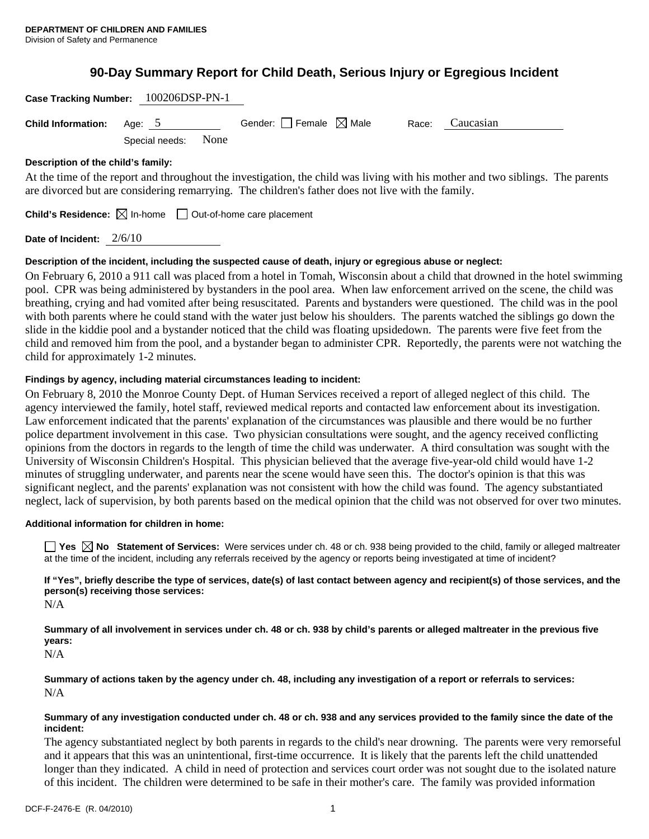# **90-Day Summary Report for Child Death, Serious Injury or Egregious Incident**

| Case Tracking Number: 100206DSP-PN-1                                                              |                |      |                                        |       |                                                                                                                                |  |
|---------------------------------------------------------------------------------------------------|----------------|------|----------------------------------------|-------|--------------------------------------------------------------------------------------------------------------------------------|--|
| <b>Child Information:</b>                                                                         | Age: 5         |      | Gender: $\Box$ Female $\boxtimes$ Male | Race: | Caucasian                                                                                                                      |  |
|                                                                                                   | Special needs: | None |                                        |       |                                                                                                                                |  |
| Description of the child's family:                                                                |                |      |                                        |       |                                                                                                                                |  |
|                                                                                                   |                |      |                                        |       | At the time of the report and throughout the investigation, the child was living with his mother and two siblings. The parents |  |
| are divorced but are considering remarrying. The children's father does not live with the family. |                |      |                                        |       |                                                                                                                                |  |

**Child's Residence:**  $\boxtimes$  In-home  $\Box$  Out-of-home care placement

**Date of Incident:** 2/6/10

# **Description of the incident, including the suspected cause of death, injury or egregious abuse or neglect:**

On February 6, 2010 a 911 call was placed from a hotel in Tomah, Wisconsin about a child that drowned in the hotel swimming pool. CPR was being administered by bystanders in the pool area. When law enforcement arrived on the scene, the child was breathing, crying and had vomited after being resuscitated. Parents and bystanders were questioned. The child was in the pool with both parents where he could stand with the water just below his shoulders. The parents watched the siblings go down the slide in the kiddie pool and a bystander noticed that the child was floating upsidedown. The parents were five feet from the child and removed him from the pool, and a bystander began to administer CPR. Reportedly, the parents were not watching the child for approximately 1-2 minutes.

# **Findings by agency, including material circumstances leading to incident:**

On February 8, 2010 the Monroe County Dept. of Human Services received a report of alleged neglect of this child. The agency interviewed the family, hotel staff, reviewed medical reports and contacted law enforcement about its investigation. Law enforcement indicated that the parents' explanation of the circumstances was plausible and there would be no further police department involvement in this case. Two physician consultations were sought, and the agency received conflicting opinions from the doctors in regards to the length of time the child was underwater. A third consultation was sought with the University of Wisconsin Children's Hospital. This physician believed that the average five-year-old child would have 1-2 minutes of struggling underwater, and parents near the scene would have seen this. The doctor's opinion is that this was significant neglect, and the parents' explanation was not consistent with how the child was found. The agency substantiated neglect, lack of supervision, by both parents based on the medical opinion that the child was not observed for over two minutes.

# **Additional information for children in home:**

■ Yes **No** Statement of Services: Were services under ch. 48 or ch. 938 being provided to the child, family or alleged maltreater at the time of the incident, including any referrals received by the agency or reports being investigated at time of incident?

**If "Yes", briefly describe the type of services, date(s) of last contact between agency and recipient(s) of those services, and the person(s) receiving those services:** 

N/A

**Summary of all involvement in services under ch. 48 or ch. 938 by child's parents or alleged maltreater in the previous five years:** 

N/A

**Summary of actions taken by the agency under ch. 48, including any investigation of a report or referrals to services:**  N/A

## **Summary of any investigation conducted under ch. 48 or ch. 938 and any services provided to the family since the date of the incident:**

The agency substantiated neglect by both parents in regards to the child's near drowning. The parents were very remorseful and it appears that this was an unintentional, first-time occurrence. It is likely that the parents left the child unattended longer than they indicated. A child in need of protection and services court order was not sought due to the isolated nature of this incident. The children were determined to be safe in their mother's care. The family was provided information